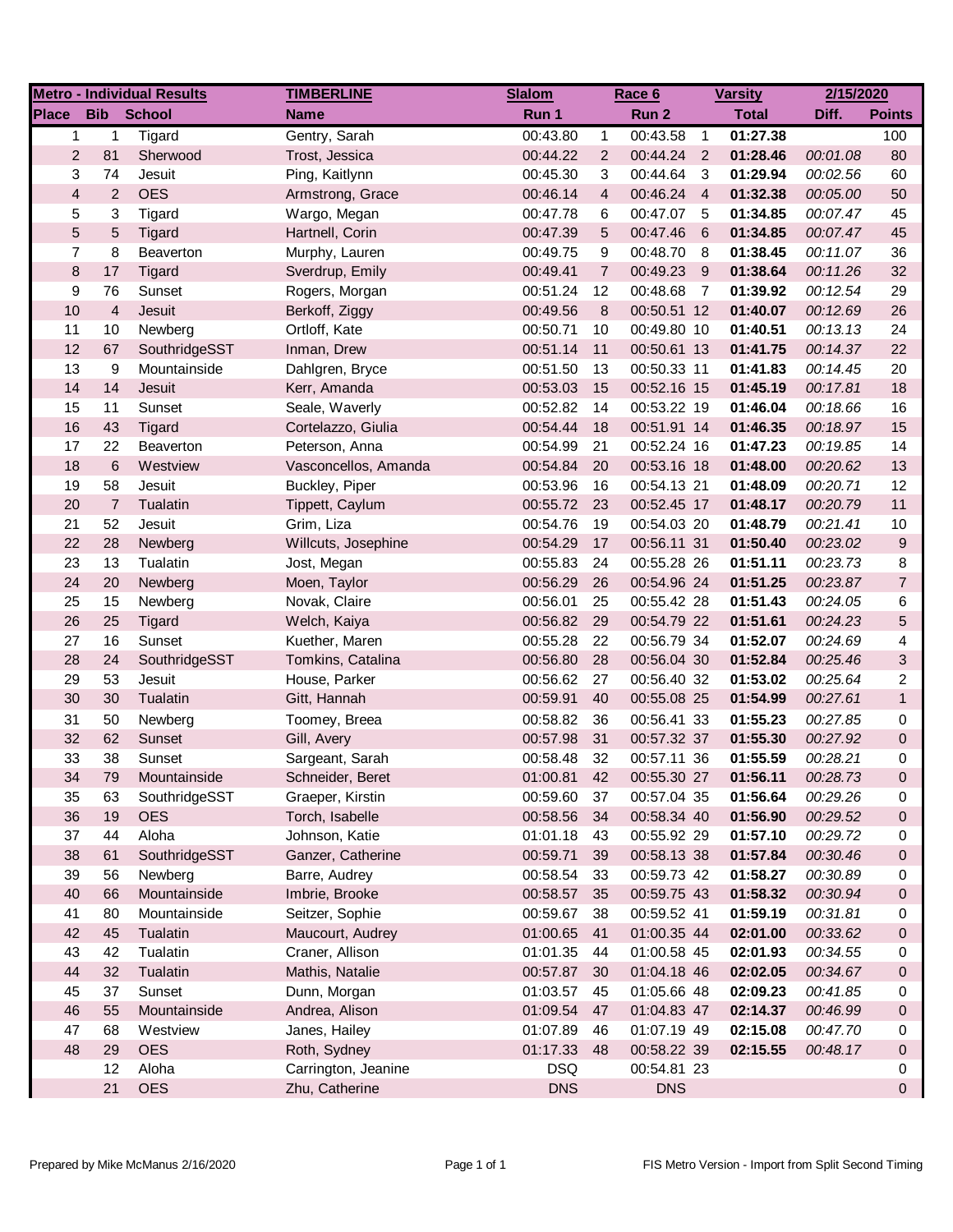| <b>Metro - Individual Results</b> |                 |               | <b>TIMBERLINE</b>    | <b>Slalom</b> | Race 6         |             |                         | <b>Varsity</b> | 2/15/2020 |                |
|-----------------------------------|-----------------|---------------|----------------------|---------------|----------------|-------------|-------------------------|----------------|-----------|----------------|
| <b>Place</b>                      | <b>Bib</b>      | <b>School</b> | <b>Name</b>          | Run 1         |                | Run 2       |                         | <b>Total</b>   | Diff.     | <b>Points</b>  |
| 1                                 | 1               | Tigard        | Gentry, Sarah        | 00:43.80      | $\mathbf{1}$   | 00:43.58    | $\overline{1}$          | 01:27.38       |           | 100            |
| $\overline{2}$                    | 81              | Sherwood      | Trost, Jessica       | 00:44.22      | $\overline{2}$ | 00:44.24 2  |                         | 01:28.46       | 00:01.08  | 80             |
| 3                                 | 74              | Jesuit        | Ping, Kaitlynn       | 00:45.30      | 3              | 00:44.64    | $\overline{\mathbf{3}}$ | 01:29.94       | 00:02.56  | 60             |
| $\overline{\mathbf{4}}$           | $\overline{2}$  | <b>OES</b>    | Armstrong, Grace     | 00:46.14      | $\overline{4}$ | 00:46.24 4  |                         | 01:32.38       | 00:05.00  | 50             |
| 5                                 | 3               | Tigard        | Wargo, Megan         | 00:47.78      | 6              | 00:47.07 5  |                         | 01:34.85       | 00:07.47  | 45             |
| 5                                 | 5               | Tigard        | Hartnell, Corin      | 00:47.39      | 5              | 00:47.46    | $6\overline{6}$         | 01:34.85       | 00:07.47  | 45             |
| $\overline{7}$                    | 8               | Beaverton     | Murphy, Lauren       | 00:49.75      | 9              | 00:48.70 8  |                         | 01:38.45       | 00:11.07  | 36             |
| 8                                 | 17              | Tigard        | Sverdrup, Emily      | 00:49.41      | $\overline{7}$ | 00:49.23 9  |                         | 01:38.64       | 00:11.26  | 32             |
| 9                                 | 76              | Sunset        | Rogers, Morgan       | 00:51.24      | 12             | 00:48.68    | $\overline{7}$          | 01:39.92       | 00:12.54  | 29             |
| 10                                | $\overline{4}$  | Jesuit        | Berkoff, Ziggy       | 00:49.56      | 8              | 00:50.51 12 |                         | 01:40.07       | 00:12.69  | 26             |
| 11                                | 10              | Newberg       | Ortloff, Kate        | 00:50.71      | 10             | 00:49.80 10 |                         | 01:40.51       | 00:13.13  | 24             |
| 12                                | 67              | SouthridgeSST | Inman, Drew          | 00:51.14      | 11             | 00:50.61 13 |                         | 01:41.75       | 00:14.37  | 22             |
| 13                                | 9               | Mountainside  | Dahlgren, Bryce      | 00:51.50      | 13             | 00:50.33 11 |                         | 01:41.83       | 00:14.45  | 20             |
| 14                                | 14              | Jesuit        | Kerr, Amanda         | 00:53.03      | 15             | 00:52.16 15 |                         | 01:45.19       | 00:17.81  | 18             |
| 15                                | 11              | Sunset        | Seale, Waverly       | 00:52.82      | 14             | 00:53.22 19 |                         | 01:46.04       | 00:18.66  | 16             |
| 16                                | 43              | Tigard        | Cortelazzo, Giulia   | 00:54.44      | 18             | 00:51.91 14 |                         | 01:46.35       | 00:18.97  | 15             |
| 17                                | 22              | Beaverton     | Peterson, Anna       | 00:54.99      | 21             | 00:52.24 16 |                         | 01:47.23       | 00:19.85  | 14             |
| 18                                | $6\phantom{1}6$ | Westview      | Vasconcellos, Amanda | 00:54.84      | 20             | 00:53.16 18 |                         | 01:48.00       | 00:20.62  | 13             |
| 19                                | 58              | Jesuit        | Buckley, Piper       | 00:53.96      | 16             | 00:54.13 21 |                         | 01:48.09       | 00:20.71  | 12             |
| 20                                | $\overline{7}$  | Tualatin      | Tippett, Caylum      | 00:55.72      | 23             | 00:52.45 17 |                         | 01:48.17       | 00:20.79  | 11             |
| 21                                | 52              | Jesuit        | Grim, Liza           | 00:54.76      | 19             | 00:54.03 20 |                         | 01:48.79       | 00:21.41  | 10             |
| 22                                | 28              | Newberg       | Willcuts, Josephine  | 00:54.29      | 17             | 00:56.11 31 |                         | 01:50.40       | 00:23.02  | 9              |
| 23                                | 13              | Tualatin      | Jost, Megan          | 00:55.83      | 24             | 00:55.28 26 |                         | 01:51.11       | 00:23.73  | 8              |
| 24                                | 20              | Newberg       | Moen, Taylor         | 00:56.29      | 26             | 00:54.96 24 |                         | 01:51.25       | 00:23.87  | $\overline{7}$ |
| 25                                | 15              | Newberg       | Novak, Claire        | 00:56.01      | 25             | 00:55.42 28 |                         | 01:51.43       | 00:24.05  | 6              |
| 26                                | 25              | Tigard        | Welch, Kaiya         | 00:56.82      | 29             | 00:54.79 22 |                         | 01:51.61       | 00:24.23  | 5              |
| 27                                | 16              | Sunset        | Kuether, Maren       | 00:55.28      | 22             | 00:56.79 34 |                         | 01:52.07       | 00:24.69  | 4              |
| 28                                | 24              | SouthridgeSST | Tomkins, Catalina    | 00:56.80      | 28             | 00:56.04 30 |                         | 01:52.84       | 00:25.46  | 3              |
| 29                                | 53              | Jesuit        | House, Parker        | 00:56.62      | 27             | 00:56.40 32 |                         | 01:53.02       | 00:25.64  | $\overline{2}$ |
| 30                                | 30              | Tualatin      | Gitt, Hannah         | 00:59.91      | 40             | 00:55.08 25 |                         | 01:54.99       | 00:27.61  | $\mathbf{1}$   |
| 31                                | 50              | Newberg       | Toomey, Breea        | 00:58.82      | 36             | 00:56.41 33 |                         | 01:55.23       | 00:27.85  | 0              |
| 32                                | 62              | Sunset        | Gill, Avery          | 00:57.98      | 31             | 00:57.32 37 |                         | 01:55.30       | 00:27.92  | 0              |
| 33                                | 38              | Sunset        | Sargeant, Sarah      | 00:58.48      | 32             | 00:57.11 36 |                         | 01:55.59       | 00:28.21  | 0              |
| 34                                | 79              | Mountainside  | Schneider, Beret     | 01:00.81 42   |                | 00:55.30 27 |                         | 01:56.11       | 00:28.73  | $\Omega$       |
| 35                                | 63              | SouthridgeSST | Graeper, Kirstin     | 00:59.60      | 37             | 00:57.04 35 |                         | 01:56.64       | 00:29.26  | 0              |
| 36                                | 19              | <b>OES</b>    | Torch, Isabelle      | 00:58.56      | 34             | 00:58.34 40 |                         | 01:56.90       | 00:29.52  | 0              |
| 37                                | 44              | Aloha         | Johnson, Katie       | 01:01.18      | - 43           | 00:55.92 29 |                         | 01:57.10       | 00:29.72  | 0              |
| 38                                | 61              | SouthridgeSST | Ganzer, Catherine    | 00:59.71      | 39             | 00:58.13 38 |                         | 01:57.84       | 00:30.46  | 0              |
| 39                                | 56              | Newberg       | Barre, Audrey        | 00:58.54      | - 33           | 00:59.73 42 |                         | 01:58.27       | 00:30.89  | 0              |
| 40                                | 66              | Mountainside  | Imbrie, Brooke       | 00:58.57      | 35             | 00:59.75 43 |                         | 01:58.32       | 00:30.94  | 0              |
| 41                                | 80              | Mountainside  | Seitzer, Sophie      | 00:59.67      | 38             | 00:59.52 41 |                         | 01:59.19       | 00:31.81  | 0              |
| 42                                | 45              | Tualatin      | Maucourt, Audrey     | 01:00.65      | 41             | 01:00.35 44 |                         | 02:01.00       | 00:33.62  | 0              |
| 43                                | 42              | Tualatin      | Craner, Allison      | 01:01.35      | 44             | 01:00.58 45 |                         | 02:01.93       | 00:34.55  | 0              |
| 44                                | 32              | Tualatin      | Mathis, Natalie      | 00:57.87      | 30             | 01:04.18 46 |                         | 02:02.05       | 00:34.67  | 0              |
| 45                                | 37              | Sunset        | Dunn, Morgan         | 01:03.57      | 45             | 01:05.66 48 |                         | 02:09.23       | 00:41.85  | 0              |
| 46                                | 55              | Mountainside  | Andrea, Alison       | 01:09.54      | 47             | 01:04.83 47 |                         | 02:14.37       | 00:46.99  | 0              |
| 47                                | 68              | Westview      | Janes, Hailey        | 01:07.89      | 46             | 01:07.19 49 |                         | 02:15.08       | 00:47.70  | 0              |
| 48                                | 29              | <b>OES</b>    | Roth, Sydney         | 01:17.33      | 48             | 00:58.22 39 |                         | 02:15.55       | 00:48.17  | 0              |
|                                   | 12              | Aloha         | Carrington, Jeanine  | <b>DSQ</b>    |                | 00:54.81 23 |                         |                |           | 0              |
|                                   | 21              | <b>OES</b>    | Zhu, Catherine       | <b>DNS</b>    |                | <b>DNS</b>  |                         |                |           | 0              |